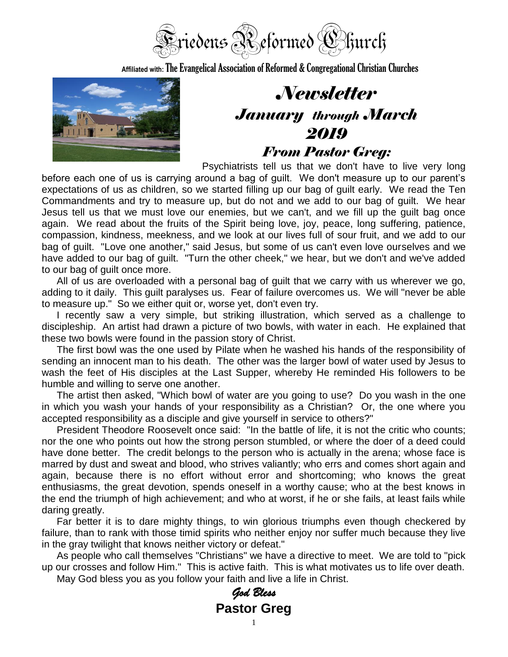

**Affiliated with:**The Evangelical Association of Reformed & Congregational Christian Churches



## *Newsletter January through March 2019 From Pastor Greg:*

Psychiatrists tell us that we don't have to live very long

before each one of us is carrying around a bag of guilt. We don't measure up to our parent's expectations of us as children, so we started filling up our bag of guilt early. We read the Ten Commandments and try to measure up, but do not and we add to our bag of guilt. We hear Jesus tell us that we must love our enemies, but we can't, and we fill up the guilt bag once again. We read about the fruits of the Spirit being love, joy, peace, long suffering, patience, compassion, kindness, meekness, and we look at our lives full of sour fruit, and we add to our bag of guilt. "Love one another," said Jesus, but some of us can't even love ourselves and we have added to our bag of guilt. "Turn the other cheek," we hear, but we don't and we've added to our bag of guilt once more.

All of us are overloaded with a personal bag of guilt that we carry with us wherever we go, adding to it daily. This guilt paralyses us. Fear of failure overcomes us. We will "never be able to measure up." So we either quit or, worse yet, don't even try.

I recently saw a very simple, but striking illustration, which served as a challenge to discipleship. An artist had drawn a picture of two bowls, with water in each. He explained that these two bowls were found in the passion story of Christ.

The first bowl was the one used by Pilate when he washed his hands of the responsibility of sending an innocent man to his death. The other was the larger bowl of water used by Jesus to wash the feet of His disciples at the Last Supper, whereby He reminded His followers to be humble and willing to serve one another.

The artist then asked, "Which bowl of water are you going to use? Do you wash in the one in which you wash your hands of your responsibility as a Christian? Or, the one where you accepted responsibility as a disciple and give yourself in service to others?"

President Theodore Roosevelt once said: "In the battle of life, it is not the critic who counts; nor the one who points out how the strong person stumbled, or where the doer of a deed could have done better. The credit belongs to the person who is actually in the arena; whose face is marred by dust and sweat and blood, who strives valiantly; who errs and comes short again and again, because there is no effort without error and shortcoming; who knows the great enthusiasms, the great devotion, spends oneself in a worthy cause; who at the best knows in the end the triumph of high achievement; and who at worst, if he or she fails, at least fails while daring greatly.

Far better it is to dare mighty things, to win glorious triumphs even though checkered by failure, than to rank with those timid spirits who neither enjoy nor suffer much because they live in the gray twilight that knows neither victory or defeat."

As people who call themselves "Christians" we have a directive to meet. We are told to "pick up our crosses and follow Him." This is active faith. This is what motivates us to life over death.

May God bless you as you follow your faith and live a life in Christ.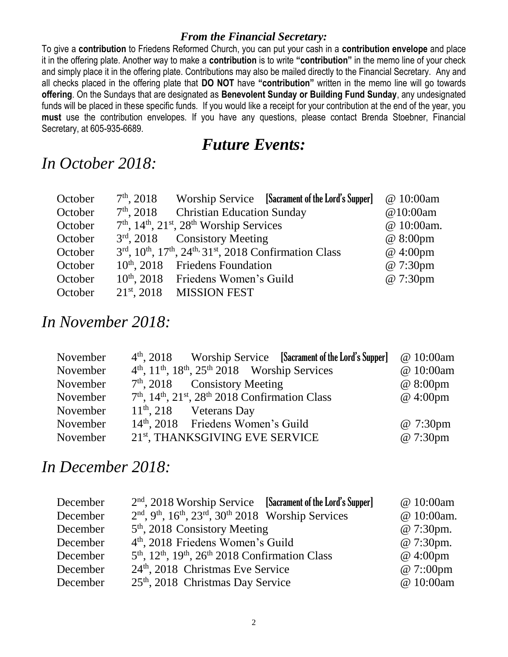#### *From the Financial Secretary:*

To give a **contribution** to Friedens Reformed Church, you can put your cash in a **contribution envelope** and place it in the offering plate. Another way to make a **contribution** is to write **"contribution"** in the memo line of your check and simply place it in the offering plate. Contributions may also be mailed directly to the Financial Secretary. Any and all checks placed in the offering plate that **DO NOT** have **"contribution"** written in the memo line will go towards **offering**. On the Sundays that are designated as **Benevolent Sunday or Building Fund Sunday**, any undesignated funds will be placed in these specific funds. If you would like a receipt for your contribution at the end of the year, you **must** use the contribution envelopes. If you have any questions, please contact Brenda Stoebner, Financial Secretary, at 605-935-6689.

#### *Future Events:*

#### *In October 2018:*

| October | $7th$ , 2018     |                                                                                                         | Worship Service [Sacrament of the Lord's Supper] | @ 10:00am  |
|---------|------------------|---------------------------------------------------------------------------------------------------------|--------------------------------------------------|------------|
| October |                  | 7 <sup>th</sup> , 2018 Christian Education Sunday                                                       |                                                  | @10:00am   |
| October |                  | $7th$ , $14th$ , $21st$ , $28th$ Worship Services                                                       |                                                  | @ 10:00am. |
| October |                  | $3rd$ , 2018 Consistory Meeting                                                                         |                                                  | @ 8:00pm   |
| October |                  | 3rd, 10 <sup>th</sup> , 17 <sup>th</sup> , 24 <sup>th,</sup> 31 <sup>st</sup> , 2018 Confirmation Class |                                                  | @ 4:00pm   |
| October |                  | $10th$ , 2018 Friedens Foundation                                                                       |                                                  | @ 7:30pm   |
| October |                  | 10 <sup>th</sup> , 2018 Friedens Women's Guild                                                          |                                                  | @ 7:30pm   |
| October | $21^{st}$ , 2018 | <b>MISSION FEST</b>                                                                                     |                                                  |            |

### *In November 2018:*

| November |                                                                                                  | 4 <sup>th</sup> , 2018 Worship Service [Sacrament of the Lord's Supper] | @ 10:00am         |
|----------|--------------------------------------------------------------------------------------------------|-------------------------------------------------------------------------|-------------------|
| November | $4th$ , $11th$ , $18th$ , $25th$ 2018 Worship Services                                           |                                                                         | @ 10:00am         |
| November | $7th$ , 2018 Consistory Meeting                                                                  |                                                                         | $@8:00 \text{pm}$ |
| November | 7 <sup>th</sup> , 14 <sup>th</sup> , 21 <sup>st</sup> , 28 <sup>th</sup> 2018 Confirmation Class |                                                                         | @ 4:00pm          |
| November | $11th$ , 218 Veterans Day                                                                        |                                                                         |                   |
| November | 14 <sup>th</sup> , 2018 Friedens Women's Guild                                                   |                                                                         | @ 7:30pm          |
| November | 21 <sup>st</sup> , THANKSGIVING EVE SERVICE                                                      |                                                                         | @ 7:30pm          |

#### *In December 2018:*

| December | $2nd$ , 2018 Worship Service [Sacrament of the Lord's Supper]                                          | @ 10:00am  |
|----------|--------------------------------------------------------------------------------------------------------|------------|
| December | $2nd$ , 9 <sup>th</sup> , 16 <sup>th</sup> , 23 <sup>rd</sup> , 30 <sup>th</sup> 2018 Worship Services | @ 10:00am. |
| December | $5th$ , 2018 Consistory Meeting                                                                        | @ 7:30pm.  |
| December | 4 <sup>th</sup> , 2018 Friedens Women's Guild                                                          | @ 7:30pm.  |
| December | 5 <sup>th</sup> , 12 <sup>th</sup> , 19 <sup>th</sup> , 26 <sup>th</sup> 2018 Confirmation Class       | @ 4:00pm   |
| December | 24 <sup>th</sup> , 2018 Christmas Eve Service                                                          | @ 7::00pm  |
| December | $25th$ , 2018 Christmas Day Service                                                                    | @ 10:00am  |